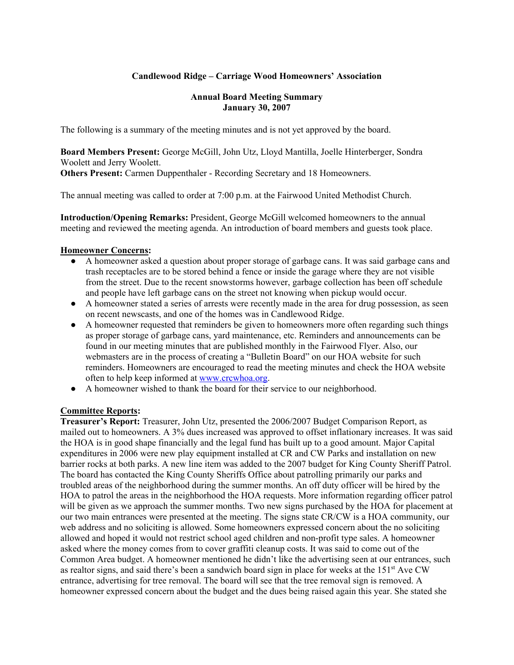# **Candlewood Ridge – Carriage Wood Homeowners' Association**

#### **Annual Board Meeting Summary January 30, 2007**

The following is a summary of the meeting minutes and is not yet approved by the board.

**Board Members Present:** George McGill, John Utz, Lloyd Mantilla, Joelle Hinterberger, Sondra Woolett and Jerry Woolett. **Others Present:** Carmen Duppenthaler - Recording Secretary and 18 Homeowners.

The annual meeting was called to order at 7:00 p.m. at the Fairwood United Methodist Church.

**Introduction/Opening Remarks:** President, George McGill welcomed homeowners to the annual meeting and reviewed the meeting agenda. An introduction of board members and guests took place.

### **Homeowner Concerns:**

- A homeowner asked a question about proper storage of garbage cans. It was said garbage cans and trash receptacles are to be stored behind a fence or inside the garage where they are not visible from the street. Due to the recent snowstorms however, garbage collection has been off schedule and people have left garbage cans on the street not knowing when pickup would occur.
- A homeowner stated a series of arrests were recently made in the area for drug possession, as seen on recent newscasts, and one of the homes was in Candlewood Ridge.
- A homeowner requested that reminders be given to homeowners more often regarding such things as proper storage of garbage cans, yard maintenance, etc. Reminders and announcements can be found in our meeting minutes that are published monthly in the Fairwood Flyer. Also, our webmasters are in the process of creating a "Bulletin Board" on our HOA website for such reminders. Homeowners are encouraged to read the meeting minutes and check the HOA website often to help keep informed at www.crcwhoa.org.
- A homeowner wished to thank the board for their service to our neighborhood.

# **Committee Reports:**

**Treasurer's Report:** Treasurer, John Utz, presented the 2006/2007 Budget Comparison Report, as mailed out to homeowners. A 3% dues increased was approved to offset inflationary increases. It was said the HOA is in good shape financially and the legal fund has built up to a good amount. Major Capital expenditures in 2006 were new play equipment installed at CR and CW Parks and installation on new barrier rocks at both parks. A new line item was added to the 2007 budget for King County Sheriff Patrol. The board has contacted the King County Sheriffs Office about patrolling primarily our parks and troubled areas of the neighborhood during the summer months. An off duty officer will be hired by the HOA to patrol the areas in the neighborhood the HOA requests. More information regarding officer patrol will be given as we approach the summer months. Two new signs purchased by the HOA for placement at our two main entrances were presented at the meeting. The signs state CR/CW is a HOA community, our web address and no soliciting is allowed. Some homeowners expressed concern about the no soliciting allowed and hoped it would not restrict school aged children and non-profit type sales. A homeowner asked where the money comes from to cover graffiti cleanup costs. It was said to come out of the Common Area budget. A homeowner mentioned he didn't like the advertising seen at our entrances, such as realtor signs, and said there's been a sandwich board sign in place for weeks at the  $151<sup>st</sup>$  Ave CW entrance, advertising for tree removal. The board will see that the tree removal sign is removed. A homeowner expressed concern about the budget and the dues being raised again this year. She stated she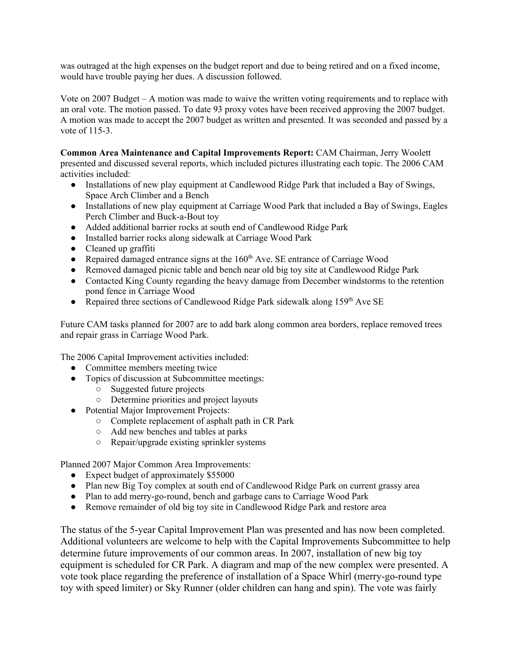was outraged at the high expenses on the budget report and due to being retired and on a fixed income, would have trouble paying her dues. A discussion followed.

Vote on 2007 Budget – A motion was made to waive the written voting requirements and to replace with an oral vote. The motion passed. To date 93 proxy votes have been received approving the 2007 budget. A motion was made to accept the 2007 budget as written and presented. It was seconded and passed by a vote of 115-3.

**Common Area Maintenance and Capital Improvements Report:** CAM Chairman, Jerry Woolett presented and discussed several reports, which included pictures illustrating each topic. The 2006 CAM activities included:

- Installations of new play equipment at Candlewood Ridge Park that included a Bay of Swings, Space Arch Climber and a Bench
- Installations of new play equipment at Carriage Wood Park that included a Bay of Swings, Eagles Perch Climber and Buck-a-Bout toy
- Added additional barrier rocks at south end of Candlewood Ridge Park
- Installed barrier rocks along sidewalk at Carriage Wood Park
- Cleaned up graffiti
- Repaired damaged entrance signs at the  $160<sup>th</sup>$  Ave. SE entrance of Carriage Wood
- Removed damaged picnic table and bench near old big toy site at Candlewood Ridge Park
- Contacted King County regarding the heavy damage from December windstorms to the retention pond fence in Carriage Wood
- Repaired three sections of Candlewood Ridge Park sidewalk along  $159<sup>th</sup>$  Ave SE

Future CAM tasks planned for 2007 are to add bark along common area borders, replace removed trees and repair grass in Carriage Wood Park.

The 2006 Capital Improvement activities included:

- Committee members meeting twice
- Topics of discussion at Subcommittee meetings:
	- Suggested future projects
	- Determine priorities and project layouts
- Potential Major Improvement Projects:
	- Complete replacement of asphalt path in CR Park
	- Add new benches and tables at parks
	- Repair/upgrade existing sprinkler systems

Planned 2007 Major Common Area Improvements:

- Expect budget of approximately \$55000
- Plan new Big Toy complex at south end of Candlewood Ridge Park on current grassy area
- Plan to add merry-go-round, bench and garbage cans to Carriage Wood Park
- Remove remainder of old big toy site in Candlewood Ridge Park and restore area

The status of the 5-year Capital Improvement Plan was presented and has now been completed. Additional volunteers are welcome to help with the Capital Improvements Subcommittee to help determine future improvements of our common areas. In 2007, installation of new big toy equipment is scheduled for CR Park. A diagram and map of the new complex were presented. A vote took place regarding the preference of installation of a Space Whirl (merry-go-round type toy with speed limiter) or Sky Runner (older children can hang and spin). The vote was fairly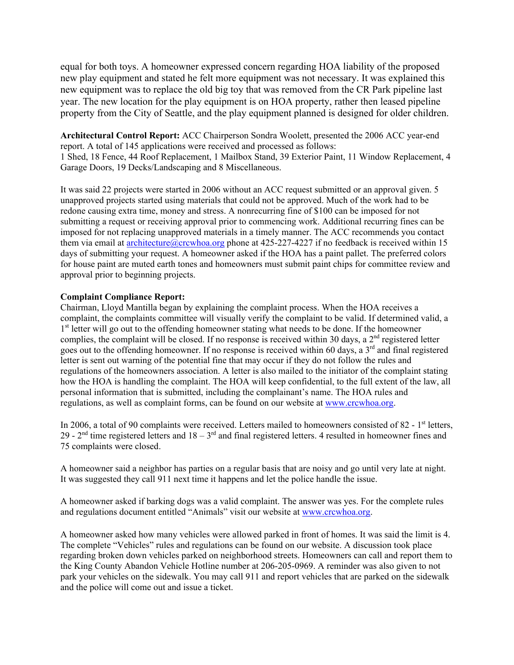equal for both toys. A homeowner expressed concern regarding HOA liability of the proposed new play equipment and stated he felt more equipment was not necessary. It was explained this new equipment was to replace the old big toy that was removed from the CR Park pipeline last year. The new location for the play equipment is on HOA property, rather then leased pipeline property from the City of Seattle, and the play equipment planned is designed for older children.

**Architectural Control Report:** ACC Chairperson Sondra Woolett, presented the 2006 ACC year-end report. A total of 145 applications were received and processed as follows: 1 Shed, 18 Fence, 44 Roof Replacement, 1 Mailbox Stand, 39 Exterior Paint, 11 Window Replacement, 4 Garage Doors, 19 Decks/Landscaping and 8 Miscellaneous.

It was said 22 projects were started in 2006 without an ACC request submitted or an approval given. 5 unapproved projects started using materials that could not be approved. Much of the work had to be redone causing extra time, money and stress. A nonrecurring fine of \$100 can be imposed for not submitting a request or receiving approval prior to commencing work. Additional recurring fines can be imposed for not replacing unapproved materials in a timely manner. The ACC recommends you contact them via email at architecture@crcwhoa.org phone at 425-227-4227 if no feedback is received within 15 days of submitting your request. A homeowner asked if the HOA has a paint pallet. The preferred colors for house paint are muted earth tones and homeowners must submit paint chips for committee review and approval prior to beginning projects.

#### **Complaint Compliance Report:**

Chairman, Lloyd Mantilla began by explaining the complaint process. When the HOA receives a complaint, the complaints committee will visually verify the complaint to be valid. If determined valid, a <sup>1st</sup> letter will go out to the offending homeowner stating what needs to be done. If the homeowner complies, the complaint will be closed. If no response is received within 30 days, a 2<sup>nd</sup> registered letter goes out to the offending homeowner. If no response is received within 60 days, a  $3<sup>rd</sup>$  and final registered letter is sent out warning of the potential fine that may occur if they do not follow the rules and regulations of the homeowners association. A letter is also mailed to the initiator of the complaint stating how the HOA is handling the complaint. The HOA will keep confidential, to the full extent of the law, all personal information that is submitted, including the complainant's name. The HOA rules and regulations, as well as complaint forms, can be found on our website at www.crcwhoa.org.

In 2006, a total of 90 complaints were received. Letters mailed to homeowners consisted of  $82 - 1$ <sup>st</sup> letters, 29 -  $2<sup>nd</sup>$  time registered letters and  $18 - 3<sup>rd</sup>$  and final registered letters. 4 resulted in homeowner fines and 75 complaints were closed.

A homeowner said a neighbor has parties on a regular basis that are noisy and go until very late at night. It was suggested they call 911 next time it happens and let the police handle the issue.

A homeowner asked if barking dogs was a valid complaint. The answer was yes. For the complete rules and regulations document entitled "Animals" visit our website at www.crcwhoa.org.

A homeowner asked how many vehicles were allowed parked in front of homes. It was said the limit is 4. The complete "Vehicles" rules and regulations can be found on our website. A discussion took place regarding broken down vehicles parked on neighborhood streets. Homeowners can call and report them to the King County Abandon Vehicle Hotline number at 206-205-0969. A reminder was also given to not park your vehicles on the sidewalk. You may call 911 and report vehicles that are parked on the sidewalk and the police will come out and issue a ticket.